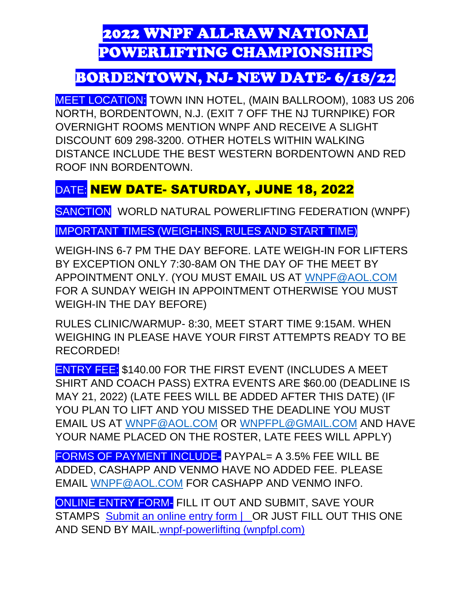# 2022 WNPF ALL-RAW NATIONAL POWERLIFTING CHAMPIONSHIPS

## BORDENTOWN, NJ- NEW DATE- 6/18/22

MEET LOCATION: TOWN INN HOTEL, (MAIN BALLROOM), 1083 US 206 NORTH, BORDENTOWN, N.J. (EXIT 7 OFF THE NJ TURNPIKE) FOR OVERNIGHT ROOMS MENTION WNPF AND RECEIVE A SLIGHT DISCOUNT 609 298-3200. OTHER HOTELS WITHIN WALKING DISTANCE INCLUDE THE BEST WESTERN BORDENTOWN AND RED ROOF INN BORDENTOWN.

## DATE: NEW DATE- SATURDAY, JUNE 18, 2022

SANCTION WORLD NATURAL POWERLIFTING FEDERATION (WNPF)

### IMPORTANT TIMES (WEIGH-INS, RULES AND START TIME)

WEIGH-INS 6-7 PM THE DAY BEFORE. LATE WEIGH-IN FOR LIFTERS BY EXCEPTION ONLY 7:30-8AM ON THE DAY OF THE MEET BY APPOINTMENT ONLY. (YOU MUST EMAIL US AT [WNPF@AOL.COM](mailto:WNPF@AOL.COM) FOR A SUNDAY WEIGH IN APPOINTMENT OTHERWISE YOU MUST WEIGH-IN THE DAY BEFORE)

RULES CLINIC/WARMUP- 8:30, MEET START TIME 9:15AM. WHEN WEIGHING IN PLEASE HAVE YOUR FIRST ATTEMPTS READY TO BE RECORDED!

ENTRY FEE: \$140.00 FOR THE FIRST EVENT (INCLUDES A MEET SHIRT AND COACH PASS) EXTRA EVENTS ARE \$60.00 (DEADLINE IS MAY 21, 2022) (LATE FEES WILL BE ADDED AFTER THIS DATE) (IF YOU PLAN TO LIFT AND YOU MISSED THE DEADLINE YOU MUST EMAIL US AT [WNPF@AOL.COM](mailto:WNPF@AOL.COM) OR [WNPFPL@GMAIL.COM](mailto:WNPFPL@GMAIL.COM) AND HAVE YOUR NAME PLACED ON THE ROSTER, LATE FEES WILL APPLY)

FORMS OF PAYMENT INCLUDE- PAYPAL= A 3.5% FEE WILL BE ADDED, CASHAPP AND VENMO HAVE NO ADDED FEE. PLEASE EMAIL [WNPF@AOL.COM](mailto:WNPF@AOL.COM) FOR CASHAPP AND VENMO INFO.

ONLINE ENTRY FORM- FILL IT OUT AND SUBMIT, SAVE YOUR STAMPS [Submit an online entry form | OR JUST FILL OUT](https://www.wnpfpl.com/submit-an-online-entry-form) THIS ONE [AND SEND BY MAIL.wnpf-powerlifting \(wnpfpl.com\)](https://www.wnpfpl.com/submit-an-online-entry-form)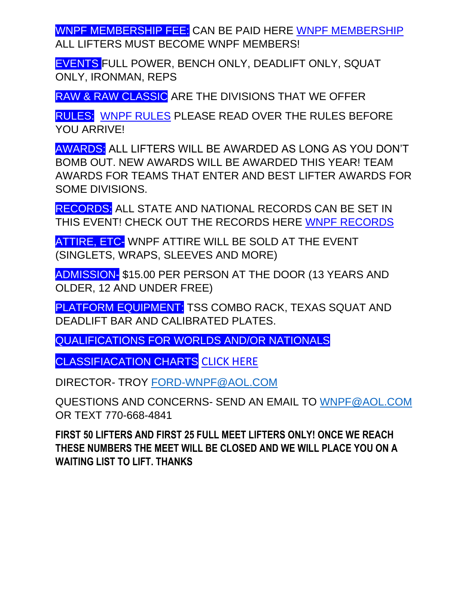WNPF MEMBERSHIP FEE: CAN BE PAID HERE [WNPF MEMBERSHIP](https://www.wnpfpl.com/online-membership-form) ALL LIFTERS MUST BECOME WNPF MEMBERS!

EVENTS FULL POWER, BENCH ONLY, DEADLIFT ONLY, SQUAT ONLY, IRONMAN, REPS

RAW & RAW CLASSIC ARE THE DIVISIONS THAT WE OFFER

RULES: [WNPF RULES](https://e1736ca4-7373-44b7-b522-77e81279f2d7.filesusr.com/ugd/6a501f_14f6127424fb4b759e8c48d9b84a761f.pdf) PLEASE READ OVER THE RULES BEFORE YOU ARRIVE!

AWARDS: ALL LIFTERS WILL BE AWARDED AS LONG AS YOU DON'T BOMB OUT. NEW AWARDS WILL BE AWARDED THIS YEAR! TEAM AWARDS FOR TEAMS THAT ENTER AND BEST LIFTER AWARDS FOR SOME DIVISIONS.

RECORDS: ALL STATE AND NATIONAL RECORDS CAN BE SET IN THIS EVENT! CHECK OUT THE RECORDS HERE [WNPF RECORDS](https://www.wnpfpl.com/state-records) 

ATTIRE, ETC- WNPF ATTIRE WILL BE SOLD AT THE EVENT (SINGLETS, WRAPS, SLEEVES AND MORE)

ADMISSION- \$15.00 PER PERSON AT THE DOOR (13 YEARS AND OLDER, 12 AND UNDER FREE)

PLATFORM EQUIPMENT: TSS COMBO RACK, TEXAS SQUAT AND DEADLIFT BAR AND CALIBRATED PLATES.

QUALIFICATIONS FOR WORLDS AND/OR NATIONALS

CLASSIFIACATION CHARTS [CLICK HERE](https://e1736ca4-7373-44b7-b522-77e81279f2d7.filesusr.com/ugd/6a501f_425f6e01a15c439f9bdcad92ba6f900c.pdf)

DIRECTOR- TROY [FORD-WNPF@AOL.COM](mailto:FORD-WNPF@AOL.COM)

QUESTIONS AND CONCERNS- SEND AN EMAIL TO [WNPF@AOL.COM](mailto:WNPF@AOL.COM) OR TEXT 770-668-4841

**FIRST 50 LIFTERS AND FIRST 25 FULL MEET LIFTERS ONLY! ONCE WE REACH THESE NUMBERS THE MEET WILL BE CLOSED AND WE WILL PLACE YOU ON A WAITING LIST TO LIFT. THANKS**